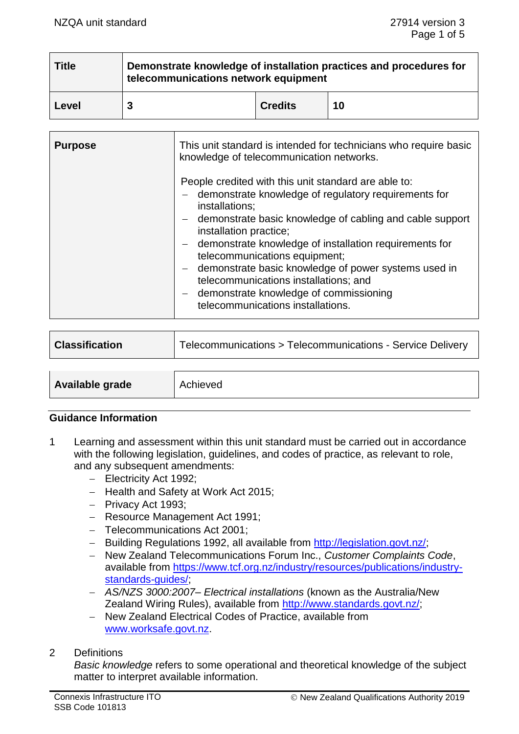| <b>Title</b> | Demonstrate knowledge of installation practices and procedures for<br>telecommunications network equipment |                |    |
|--------------|------------------------------------------------------------------------------------------------------------|----------------|----|
| <b>Level</b> |                                                                                                            | <b>Credits</b> | 10 |

| <b>Purpose</b> | This unit standard is intended for technicians who require basic<br>knowledge of telecommunication networks.                                                                                                                                                                                                                                                                                                                                                                                              |  |
|----------------|-----------------------------------------------------------------------------------------------------------------------------------------------------------------------------------------------------------------------------------------------------------------------------------------------------------------------------------------------------------------------------------------------------------------------------------------------------------------------------------------------------------|--|
|                | People credited with this unit standard are able to:<br>- demonstrate knowledge of regulatory requirements for<br>installations;<br>- demonstrate basic knowledge of cabling and cable support<br>installation practice;<br>- demonstrate knowledge of installation requirements for<br>telecommunications equipment;<br>- demonstrate basic knowledge of power systems used in<br>telecommunications installations; and<br>- demonstrate knowledge of commissioning<br>telecommunications installations. |  |

| <b>Classification</b> | Telecommunications > Telecommunications - Service Delivery |  |
|-----------------------|------------------------------------------------------------|--|
|                       |                                                            |  |
| Available grade       | Achieved                                                   |  |

#### **Guidance Information**

- 1 Learning and assessment within this unit standard must be carried out in accordance with the following legislation, guidelines, and codes of practice, as relevant to role, and any subsequent amendments:
	- − Electricity Act 1992;
	- − Health and Safety at Work Act 2015;
	- − Privacy Act 1993;
	- − Resource Management Act 1991;
	- − Telecommunications Act 2001;
	- − Building Regulations 1992, all available from [http://legislation.govt.nz/;](http://legislation.govt.nz/)
	- − New Zealand Telecommunications Forum Inc., *Customer Complaints Code*, available from [https://www.tcf.org.nz/industry/resources/publications/industry](https://www.tcf.org.nz/industry/resources/publications/industry-standards-guides/)[standards-guides/;](https://www.tcf.org.nz/industry/resources/publications/industry-standards-guides/)
	- − *AS/NZS 3000:2007– Electrical installations* (known as the Australia/New Zealand Wiring Rules), available from [http://www.standards.govt.nz/;](http://www.standards.govt.nz/)
	- − New Zealand Electrical Codes of Practice, available from [www.worksafe.govt.nz.](http://www.worksafe.govt.nz/)

#### 2 Definitions

*Basic knowledge* refers to some operational and theoretical knowledge of the subject matter to interpret available information.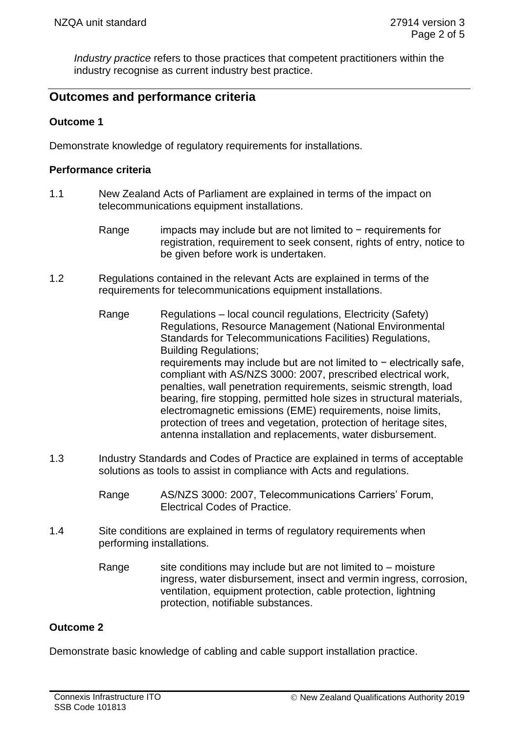*Industry practice* refers to those practices that competent practitioners within the industry recognise as current industry best practice.

## **Outcomes and performance criteria**

#### **Outcome 1**

Demonstrate knowledge of regulatory requirements for installations.

#### **Performance criteria**

- 1.1 New Zealand Acts of Parliament are explained in terms of the impact on telecommunications equipment installations.
	- Range impacts may include but are not limited to − requirements for registration, requirement to seek consent, rights of entry, notice to be given before work is undertaken.
- 1.2 Regulations contained in the relevant Acts are explained in terms of the requirements for telecommunications equipment installations.
	- Range Regulations local council regulations, Electricity (Safety) Regulations, Resource Management (National Environmental Standards for Telecommunications Facilities) Regulations, Building Regulations; requirements may include but are not limited to − electrically safe, compliant with AS/NZS 3000: 2007, prescribed electrical work, penalties, wall penetration requirements, seismic strength, load bearing, fire stopping, permitted hole sizes in structural materials, electromagnetic emissions (EME) requirements, noise limits, protection of trees and vegetation, protection of heritage sites, antenna installation and replacements, water disbursement.
- 1.3 Industry Standards and Codes of Practice are explained in terms of acceptable solutions as tools to assist in compliance with Acts and regulations.
	- Range AS/NZS 3000: 2007, Telecommunications Carriers' Forum, Electrical Codes of Practice.
- 1.4 Site conditions are explained in terms of regulatory requirements when performing installations.
	- Range site conditions may include but are not limited to  $-$  moisture ingress, water disbursement, insect and vermin ingress, corrosion, ventilation, equipment protection, cable protection, lightning protection, notifiable substances.

## **Outcome 2**

Demonstrate basic knowledge of cabling and cable support installation practice.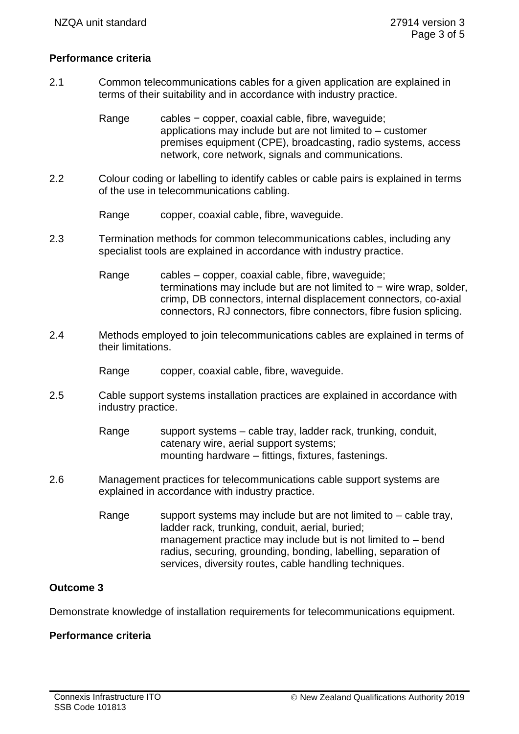#### **Performance criteria**

2.1 Common telecommunications cables for a given application are explained in terms of their suitability and in accordance with industry practice.

> Range cables − copper, coaxial cable, fibre, waveguide; applications may include but are not limited to – customer premises equipment (CPE), broadcasting, radio systems, access network, core network, signals and communications.

- 2.2 Colour coding or labelling to identify cables or cable pairs is explained in terms of the use in telecommunications cabling.
	- Range copper, coaxial cable, fibre, waveguide.
- 2.3 Termination methods for common telecommunications cables, including any specialist tools are explained in accordance with industry practice.

Range cables – copper, coaxial cable, fibre, waveguide; terminations may include but are not limited to − wire wrap, solder, crimp, DB connectors, internal displacement connectors, co-axial connectors, RJ connectors, fibre connectors, fibre fusion splicing.

- 2.4 Methods employed to join telecommunications cables are explained in terms of their limitations.
	- Range copper, coaxial cable, fibre, waveguide.
- 2.5 Cable support systems installation practices are explained in accordance with industry practice.

Range support systems – cable tray, ladder rack, trunking, conduit, catenary wire, aerial support systems; mounting hardware – fittings, fixtures, fastenings.

- 2.6 Management practices for telecommunications cable support systems are explained in accordance with industry practice.
	- Range support systems may include but are not limited to  $-$  cable tray, ladder rack, trunking, conduit, aerial, buried; management practice may include but is not limited to – bend radius, securing, grounding, bonding, labelling, separation of services, diversity routes, cable handling techniques.

### **Outcome 3**

Demonstrate knowledge of installation requirements for telecommunications equipment.

#### **Performance criteria**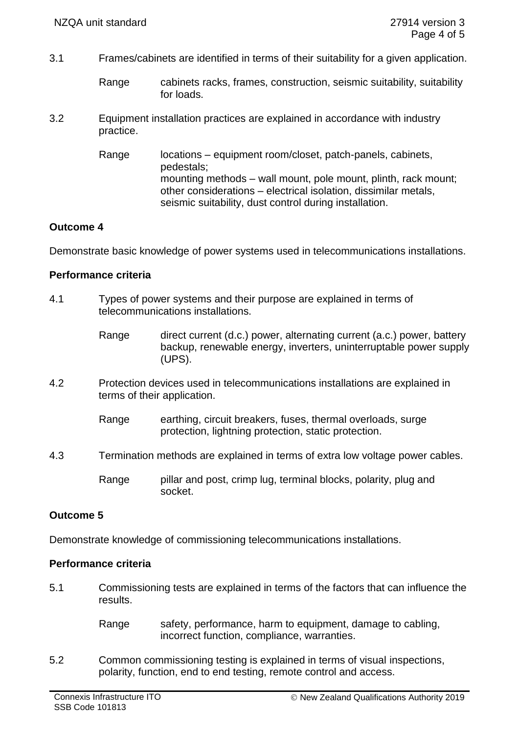- 3.1 Frames/cabinets are identified in terms of their suitability for a given application.
	- Range cabinets racks, frames, construction, seismic suitability, suitability for loads.
- 3.2 Equipment installation practices are explained in accordance with industry practice.
	- Range locations equipment room/closet, patch-panels, cabinets, pedestals; mounting methods – wall mount, pole mount, plinth, rack mount; other considerations – electrical isolation, dissimilar metals, seismic suitability, dust control during installation.

## **Outcome 4**

Demonstrate basic knowledge of power systems used in telecommunications installations.

#### **Performance criteria**

- 4.1 Types of power systems and their purpose are explained in terms of telecommunications installations.
	- Range direct current (d.c.) power, alternating current (a.c.) power, battery backup, renewable energy, inverters, uninterruptable power supply (UPS).
- 4.2 Protection devices used in telecommunications installations are explained in terms of their application.
	- Range earthing, circuit breakers, fuses, thermal overloads, surge protection, lightning protection, static protection.
- 4.3 Termination methods are explained in terms of extra low voltage power cables.
	- Range pillar and post, crimp lug, terminal blocks, polarity, plug and socket.

## **Outcome 5**

Demonstrate knowledge of commissioning telecommunications installations.

#### **Performance criteria**

- 5.1 Commissioning tests are explained in terms of the factors that can influence the results.
	- Range safety, performance, harm to equipment, damage to cabling, incorrect function, compliance, warranties.
- 5.2 Common commissioning testing is explained in terms of visual inspections, polarity, function, end to end testing, remote control and access.